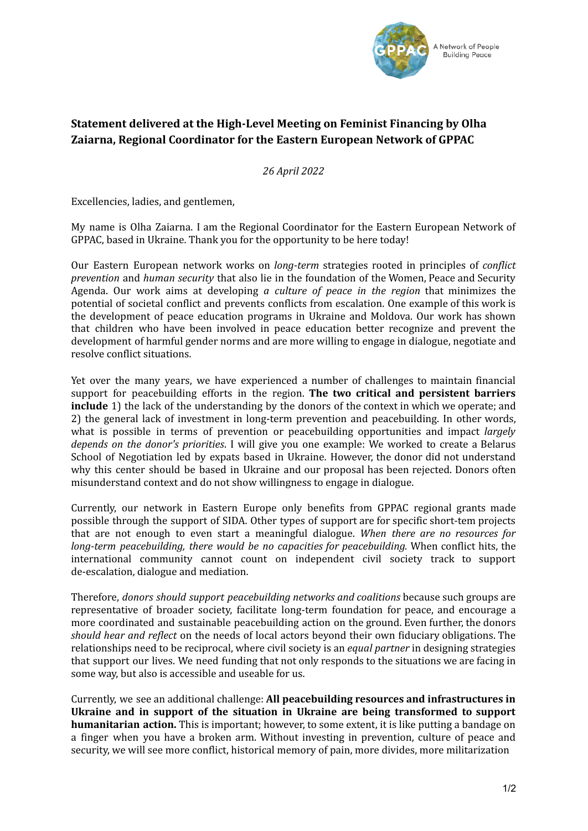

## **Statement delivered at the High-Level Meeting on Feminist Financing by Olha Zaiarna, Regional Coordinator for the Eastern European Network of GPPAC**

*26 April 2022*

Excellencies, ladies, and gentlemen,

My name is Olha Zaiarna. I am the Regional Coordinator for the Eastern European Network of GPPAC, based in Ukraine. Thank you for the opportunity to be here today!

Our Eastern European network works on *long-term* strategies rooted in principles of *conflict prevention* and *human security* that also lie in the foundation of the Women, Peace and Security Agenda. Our work aims at developing *a culture of peace in the region* that minimizes the potential of societal conflict and prevents conflicts from escalation. One example of this work is the development of peace education programs in Ukraine and Moldova. Our work has shown that children who have been involved in peace education better recognize and prevent the development of harmful gender norms and are more willing to engage in dialogue, negotiate and resolve conflict situations.

Yet over the many years, we have experienced a number of challenges to maintain financial support for peacebuilding efforts in the region. **The two critical and persistent barriers include** 1) the lack of the understanding by the donors of the context in which we operate; and 2) the general lack of investment in long-term prevention and peacebuilding. In other words, what is possible in terms of prevention or peacebuilding opportunities and impact *largely depends on the donor's priorities*. I will give you one example: We worked to create a Belarus School of Negotiation led by expats based in Ukraine. However, the donor did not understand why this center should be based in Ukraine and our proposal has been rejected. Donors often misunderstand context and do not show willingness to engage in dialogue.

Currently, our network in Eastern Europe only benefits from GPPAC regional grants made possible through the support of SIDA. Other types of support are for specific short-tem projects that are not enough to even start a meaningful dialogue. *When there are no resources for long-term peacebuilding, there would be no capacities for peacebuilding.* When conflict hits, the international community cannot count on independent civil society track to support de-escalation, dialogue and mediation.

Therefore, *donors should support peacebuilding networks and coalitions* because such groups are representative of broader society, facilitate long-term foundation for peace, and encourage a more coordinated and sustainable peacebuilding action on the ground. Even further, the donors *should hear and reflect* on the needs of local actors beyond their own fiduciary obligations. The relationships need to be reciprocal, where civil society is an *equal partner* in designing strategies that support our lives. We need funding that not only responds to the situations we are facing in some way, but also is accessible and useable for us.

Currently, we see an additional challenge: **All peacebuilding resources and infrastructures in Ukraine and in support of the situation in Ukraine are being transformed to support humanitarian action.** This is important; however, to some extent, it is like putting a bandage on a finger when you have a broken arm. Without investing in prevention, culture of peace and security, we will see more conflict, historical memory of pain, more divides, more militarization